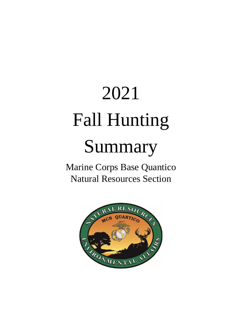# 2021 Fall Hunting

# Summary

Marine Corps Base Quantico Natural Resources Section

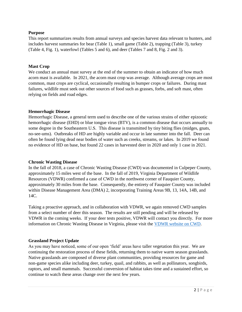#### **Purpose**

This report summarizes results from annual surveys and species harvest data relevant to hunters, and includes harvest summaries for bear (Table 1), small game (Table 2), trapping (Table 3), turkey (Table 4, Fig. 1), waterfowl (Tables 5 and 6), and deer (Tables 7 and 8, Fig. 2 and 3).

#### **Mast Crop**

We conduct an annual mast survey at the end of the summer to obtain an indicator of how much acorn mast is available. In 2021, the acorn mast crop was average. Although average crops are most common, mast crops are cyclical, occasionally resulting in bumper crops or failures. During mast failures, wildlife must seek out other sources of food such as grasses, forbs, and soft mast, often relying on fields and road edges.

#### **Hemorrhagic Disease**

Hemorrhagic Disease, a general term used to describe one of the various strains of either epizootic hemorrhagic disease (EHD) or blue tongue virus (BTV), is a common disease that occurs annually to some degree in the Southeastern U.S. This disease is transmitted by tiny biting flies (midges, gnats, no-see-ums). Outbreaks of HD are highly variable and occur in late summer into the fall. Deer can often be found lying dead near bodies of water such as creeks, streams, or lakes. In 2019 we found no evidence of HD on base, but found 22 cases in harvested deer in 2020 and only 1 case in 2021.

#### **Chronic Wasting Disease**

In the fall of 2018, a case of Chronic Wasting Disease (CWD) was documented in Culpeper County, approximately 15 miles west of the base. In the fall of 2019, Virginia Department of Wildlife Resources (VDWR) confirmed a case of CWD in the northwest corner of Fauquier County, approximately 30 miles from the base. Consequently, the entirety of Fauquier County was included within Disease Management Area (DMA) 2, incorporating Training Areas 9B, 13, 14A, 14B, and 14C.

Taking a proactive approach, and in collaboration with VDWR, we again removed CWD samples from a select number of deer this season. The results are still pending and will be released by VDWR in the coming weeks. If your deer tests positive, VDWR will contact you directly. For more information on Chronic Wasting Disease in Virginia, please visit the [VDWR website on CWD.](https://dwr.virginia.gov/wildlife/diseases/cwd/)

#### **Grassland Project Update**

As you may have noticed, some of our open 'field' areas have taller vegetation this year. We are continuing the restoration process of these fields, returning them to native warm season grasslands. Native grasslands are composed of diverse plant communities, providing resources for game and non-game species alike including deer, turkey, quail, and rabbits, as well as pollinators, songbirds, raptors, and small mammals. Successful conversion of habitat takes time and a sustained effort, so continue to watch these areas change over the next few years.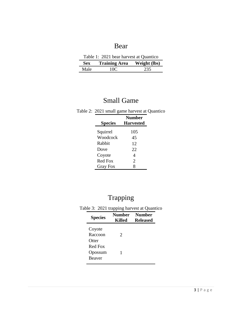### Bear

| Table 1: 2021 bear harvest at Quantico          |     |     |  |
|-------------------------------------------------|-----|-----|--|
| <b>Training Area</b> Weight (lbs)<br><b>Sex</b> |     |     |  |
| Male                                            | 10C | 235 |  |

## Small Game

|  |  |  |  |  |  | Table 2: 2021 small game harvest at Quantico |
|--|--|--|--|--|--|----------------------------------------------|
|--|--|--|--|--|--|----------------------------------------------|

| <b>Species</b>  | <b>Number</b><br><b>Harvested</b> |
|-----------------|-----------------------------------|
| Squirrel        | 105                               |
| Woodcock        | 45                                |
| Rabbit          | 12                                |
| Dove            | 22                                |
| Coyote          | 4                                 |
| <b>Red Fox</b>  | $\mathfrak{D}$                    |
| <b>Gray Fox</b> | 8                                 |

# Trapping

Table 3: 2021 trapping harvest at Quantico

| <b>Species</b>                      | <b>Number</b><br>Killed | <b>Number</b><br><b>Released</b> |
|-------------------------------------|-------------------------|----------------------------------|
| Coyote<br>Raccoon<br><b>Otter</b>   | $\mathcal{D}_{\cdot}$   |                                  |
| Red Fox<br>Opossum<br><b>Beaver</b> | 1                       |                                  |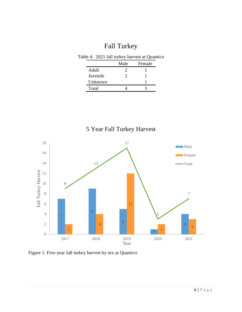# Fall Turkey

|          | Male | Female |
|----------|------|--------|
| Adult    |      |        |
| Juvenile | ′)   |        |
| Unknown  |      |        |
| Total    |      |        |



Figure 1. Five-year fall turkey harvest by sex at Quantico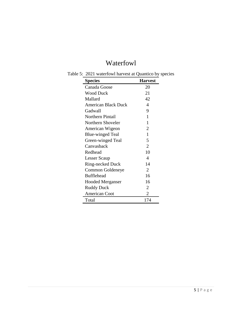# Waterfowl

| <b>Species</b>             | <b>Harvest</b>        |
|----------------------------|-----------------------|
| Canada Goose               | 20                    |
| <b>Wood Duck</b>           | 21                    |
| Mallard                    | 42                    |
| <b>American Black Duck</b> | 4                     |
| Gadwall                    | 9                     |
| <b>Northern Pintail</b>    | 1                     |
| Northern Shoveler          | 1                     |
| American Wigeon            | $\overline{2}$        |
| <b>Blue-winged Teal</b>    | 1                     |
| Green-winged Teal          | 5                     |
| Canvasback                 | $\overline{2}$        |
| Redhead                    | 10                    |
| Lesser Scaup               | 4                     |
| Ring-necked Duck           | 14                    |
| Common Goldeneye           | $\mathcal{D}_{\cdot}$ |
| <b>Bufflehead</b>          | 16                    |
| <b>Hooded Merganser</b>    | 16                    |
| <b>Ruddy Duck</b>          | $\overline{2}$        |
| <b>American Coot</b>       | 2                     |
| Total                      | 174                   |

Table 5: 2021 waterfowl harvest at Quantico by species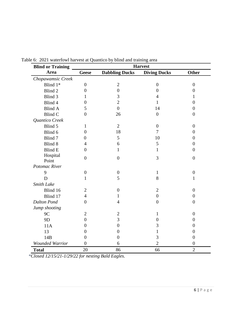| <b>Blind or Training</b> |                  |                       | <b>Harvest</b>      |                  |
|--------------------------|------------------|-----------------------|---------------------|------------------|
| Area                     | <b>Geese</b>     | <b>Dabbling Ducks</b> | <b>Diving Ducks</b> | <b>Other</b>     |
| Chopawamsic Creek        |                  |                       |                     |                  |
| Blind 1*                 | $\overline{0}$   | $\mathbf{2}$          | $\boldsymbol{0}$    | $\overline{0}$   |
| Blind 2                  | $\overline{0}$   | $\theta$              | $\overline{0}$      | $\overline{0}$   |
| Blind 3                  | 1                | 3                     | $\overline{4}$      | 1                |
| Blind 4                  | $\boldsymbol{0}$ | $\overline{2}$        | $\mathbf{1}$        | $\overline{0}$   |
| <b>Blind A</b>           | 5                | $\overline{0}$        | 14                  | $\theta$         |
| <b>Blind C</b>           | $\overline{0}$   | 26                    | $\overline{0}$      | $\overline{0}$   |
| Quantico Creek           |                  |                       |                     |                  |
| Blind 5                  | 1                | $\overline{2}$        | $\overline{0}$      | $\overline{0}$   |
| Blind 6                  | $\boldsymbol{0}$ | 18                    | 7                   | $\boldsymbol{0}$ |
| Blind 7                  | $\overline{0}$   | 5                     | 10                  | $\overline{0}$   |
| Blind 8                  | $\overline{4}$   | 6                     | 5                   | $\overline{0}$   |
| <b>Blind E</b>           | $\overline{0}$   | $\mathbf{1}$          | $\mathbf{1}$        | $\overline{0}$   |
| Hospital<br>Point        | $\overline{0}$   | $\overline{0}$        | 3                   | $\overline{0}$   |
| Potomac River            |                  |                       |                     |                  |
| 9                        | $\boldsymbol{0}$ | $\theta$              | $\mathbf{1}$        | $\boldsymbol{0}$ |
| D                        | $\mathbf{1}$     | 5                     | 8                   | $\mathbf{1}$     |
| Smith Lake               |                  |                       |                     |                  |
| Blind 16                 | $\overline{2}$   | $\overline{0}$        | $\mathfrak{2}$      | $\boldsymbol{0}$ |
| Blind 17                 | $\overline{4}$   | 1                     | $\boldsymbol{0}$    | $\overline{0}$   |
| <b>Dalton Pond</b>       | $\overline{0}$   | $\overline{4}$        | $\overline{0}$      | $\overline{0}$   |
| Jump shooting            |                  |                       |                     |                  |
| 9C                       | $\overline{2}$   | $\overline{2}$        | $\mathbf{1}$        | $\overline{0}$   |
| 9 <sub>D</sub>           | $\boldsymbol{0}$ | 3                     | $\overline{0}$      | $\overline{0}$   |
| 11A                      | $\overline{0}$   | $\overline{0}$        | 3                   | $\overline{0}$   |
| 13                       | $\overline{0}$   | $\overline{0}$        | 1                   | $\overline{0}$   |
| 14B                      | $\overline{0}$   | $\overline{0}$        | 3                   | $\overline{0}$   |
| <b>Wounded Warrior</b>   | $\overline{0}$   | 6                     | $\overline{2}$      | $\boldsymbol{0}$ |
| <b>Total</b>             | 20               | 86                    | 66                  | $\overline{2}$   |

Table 6: 2021 waterfowl harvest at Quantico by blind and training area

*\*Closed 12/15/21-1/29/22 for nesting Bald Eagles.*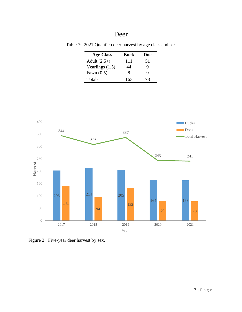#### Deer

| <b>Age Class</b>  | Buck | Doe |
|-------------------|------|-----|
| Adult $(2.5+)$    | 111  | 51  |
| Yearlings $(1.5)$ | 44   | 9   |
| Fawn $(0.5)$      | x    | Q   |
| Totals            | 163  | 78  |

Table 7: 2021 Quantico deer harvest by age class and sex



Figure 2: Five-year deer harvest by sex.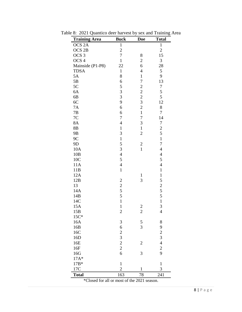| <b>Training Area</b>                        | <b>Buck</b>                                | <b>Doe</b>                                        | <b>Total</b>             |
|---------------------------------------------|--------------------------------------------|---------------------------------------------------|--------------------------|
| OCS <sub>2A</sub>                           | $\mathbf{1}$                               |                                                   | $\mathbf{1}$             |
| OCS <sub>2B</sub>                           | $\overline{c}$                             |                                                   | $\overline{c}$           |
| OCS <sub>3</sub>                            | $\overline{7}$                             | 8                                                 | 15                       |
| OCS <sub>4</sub>                            | $\mathbf{1}$                               | $\overline{c}$                                    | 3                        |
| Mainside (P1-P8)                            | 22                                         | 6                                                 | 28                       |
| <b>TDSA</b>                                 | $\mathbf{1}$                               | $\overline{4}$                                    | 5                        |
| 5A                                          | 8                                          | $\mathbf{1}$                                      | 9                        |
| 5B                                          | 6                                          | $\overline{7}$                                    | 13                       |
| 5C                                          | 5                                          |                                                   | $\boldsymbol{7}$         |
| 6A                                          | 3                                          |                                                   | 5                        |
| 6B                                          | $\overline{3}$                             |                                                   | 5                        |
| 6C                                          | 9                                          |                                                   | 12                       |
| 7A                                          | 6                                          | $\begin{array}{c}\n2 \\ 2 \\ 3 \\ 2\n\end{array}$ | $\,8$                    |
| 7B                                          | 6                                          | $\mathbf{1}$                                      | $\overline{7}$           |
| 7C                                          | $\overline{7}$                             | $\overline{7}$                                    | 14                       |
| 8A                                          | $\overline{4}$                             | 3                                                 | $\boldsymbol{7}$         |
| 8B                                          | $\mathbf{1}$                               | $\mathbf{1}$                                      | $\overline{\mathbf{c}}$  |
| 9B                                          | 3                                          | $\overline{c}$                                    | 5                        |
| 9 <sup>C</sup>                              | $\mathbf{1}$                               |                                                   | $\mathbf{1}$             |
| 9D                                          | 5                                          | $\overline{\mathbf{c}}$                           | 7                        |
| 10A                                         | 3                                          | $\mathbf{1}$                                      | $\overline{4}$           |
| 10B                                         | $\overline{4}$                             |                                                   | $\overline{\mathcal{L}}$ |
| 10C                                         | 5                                          |                                                   | 5                        |
| 11A                                         | $\overline{4}$                             |                                                   | $\overline{4}$           |
| 11B                                         | $\mathbf{1}$                               |                                                   | $\mathbf{1}$             |
| 12A                                         |                                            | $\mathbf{1}$                                      | $\mathbf{1}$             |
| 12B                                         |                                            | 3                                                 | 5                        |
| 13                                          | $\begin{array}{c} 2 \\ 2 \\ 5 \end{array}$ |                                                   |                          |
| 14A                                         |                                            |                                                   | $rac{2}{5}$              |
| 14B                                         | 5                                          |                                                   | 5                        |
| 14C                                         | $\mathbf{1}$                               |                                                   | $\mathbf{1}$             |
| 15A                                         | $\mathbf{1}$                               | $\overline{\mathbf{c}}$                           | 3                        |
| 15B                                         | $\overline{c}$                             | $\overline{c}$                                    | $\overline{4}$           |
| $15C*$                                      |                                            |                                                   |                          |
| 16A                                         | 3                                          | 5                                                 | 8                        |
| 16B                                         | 6                                          | $\overline{3}$                                    | 9                        |
| 16C                                         |                                            |                                                   |                          |
| 16D                                         |                                            |                                                   | $\frac{2}{3}$            |
| 16E                                         | $\begin{array}{c} 2 \\ 3 \\ 2 \end{array}$ | $\overline{2}$                                    | $\overline{4}$           |
| 16F                                         |                                            |                                                   | $\overline{c}$           |
| 16G                                         | 6                                          | 3                                                 | 9                        |
| $17A*$                                      |                                            |                                                   |                          |
| $17B*$                                      | $\mathbf{1}$                               |                                                   | $\mathbf{1}$             |
| 17C                                         | $\overline{2}$                             | 1                                                 | 3                        |
| <b>Total</b>                                | 163                                        | 78                                                | 241                      |
| *Closed for all or most of the 2021 season. |                                            |                                                   |                          |

Table 8: 2021 Quantico deer harvest by sex and Training Area

8 | P a g e